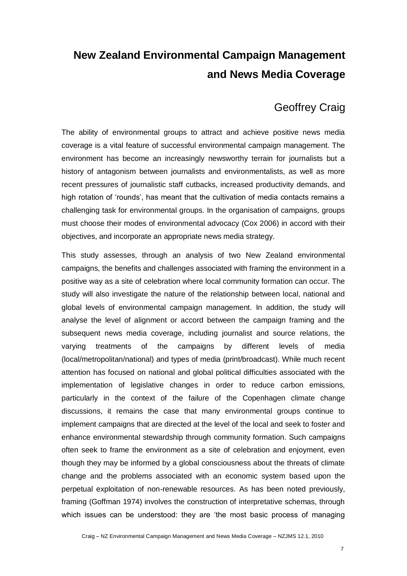# **New Zealand Environmental Campaign Management and News Media Coverage**

# Geoffrey Craig

The ability of environmental groups to attract and achieve positive news media coverage is a vital feature of successful environmental campaign management. The environment has become an increasingly newsworthy terrain for journalists but a history of antagonism between journalists and environmentalists, as well as more recent pressures of journalistic staff cutbacks, increased productivity demands, and high rotation of 'rounds', has meant that the cultivation of media contacts remains a challenging task for environmental groups. In the organisation of campaigns, groups must choose their modes of environmental advocacy (Cox 2006) in accord with their objectives, and incorporate an appropriate news media strategy.

This study assesses, through an analysis of two New Zealand environmental campaigns, the benefits and challenges associated with framing the environment in a positive way as a site of celebration where local community formation can occur. The study will also investigate the nature of the relationship between local, national and global levels of environmental campaign management. In addition, the study will analyse the level of alignment or accord between the campaign framing and the subsequent news media coverage, including journalist and source relations, the varying treatments of the campaigns by different levels of media (local/metropolitan/national) and types of media (print/broadcast). While much recent attention has focused on national and global political difficulties associated with the implementation of legislative changes in order to reduce carbon emissions, particularly in the context of the failure of the Copenhagen climate change discussions, it remains the case that many environmental groups continue to implement campaigns that are directed at the level of the local and seek to foster and enhance environmental stewardship through community formation. Such campaigns often seek to frame the environment as a site of celebration and enjoyment, even though they may be informed by a global consciousness about the threats of climate change and the problems associated with an economic system based upon the perpetual exploitation of non-renewable resources. As has been noted previously, framing (Goffman 1974) involves the construction of interpretative schemas, through which issues can be understood: they are 'the most basic process of managing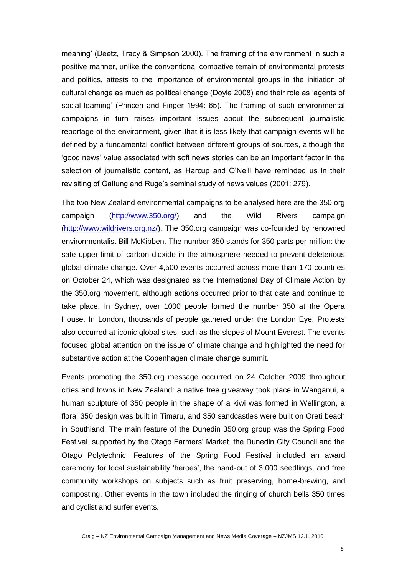meaning' (Deetz, Tracy & Simpson 2000). The framing of the environment in such a positive manner, unlike the conventional combative terrain of environmental protests and politics, attests to the importance of environmental groups in the initiation of cultural change as much as political change (Doyle 2008) and their role as 'agents of social learning' (Princen and Finger 1994: 65). The framing of such environmental campaigns in turn raises important issues about the subsequent journalistic reportage of the environment, given that it is less likely that campaign events will be defined by a fundamental conflict between different groups of sources, although the ‗good news' value associated with soft news stories can be an important factor in the selection of journalistic content, as Harcup and O'Neill have reminded us in their revisiting of Galtung and Ruge's seminal study of news values (2001: 279).

The two New Zealand environmental campaigns to be analysed here are the 350.org campaign [\(http://www.350.org/\)](http://www.350.org/) and the Wild Rivers campaign [\(http://www.wildrivers.org.nz/\)](http://www.wildrivers.org.nz/). The 350.org campaign was co-founded by renowned environmentalist Bill McKibben. The number 350 stands for 350 parts per million: the safe upper limit of carbon dioxide in the atmosphere needed to prevent deleterious global climate change. Over 4,500 events occurred across more than 170 countries on October 24, which was designated as the International Day of Climate Action by the 350.org movement, although actions occurred prior to that date and continue to take place. In Sydney, over 1000 people formed the number 350 at the Opera House. In London, thousands of people gathered under the London Eye. Protests also occurred at iconic global sites, such as the slopes of Mount Everest. The events focused global attention on the issue of climate change and highlighted the need for substantive action at the Copenhagen climate change summit.

Events promoting the 350.org message occurred on 24 October 2009 throughout cities and towns in New Zealand: a native tree giveaway took place in Wanganui, a human sculpture of 350 people in the shape of a kiwi was formed in Wellington, a floral 350 design was built in Timaru, and 350 sandcastles were built on Oreti beach in Southland. The main feature of the Dunedin 350.org group was the Spring Food Festival, supported by the Otago Farmers' Market, the Dunedin City Council and the Otago Polytechnic. Features of the Spring Food Festival included an award ceremony for local sustainability 'heroes', the hand-out of 3,000 seedlings, and free community workshops on subjects such as fruit preserving, home-brewing, and composting. Other events in the town included the ringing of church bells 350 times and cyclist and surfer events.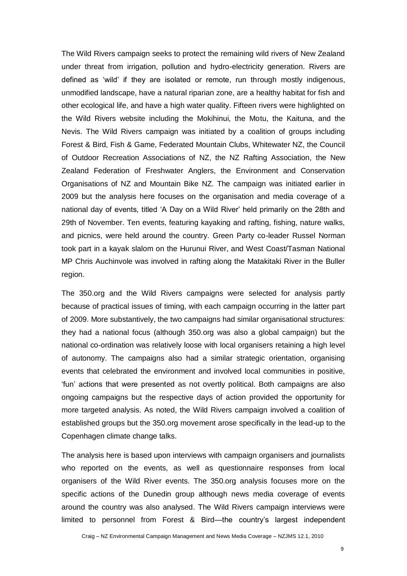The Wild Rivers campaign seeks to protect the remaining wild rivers of New Zealand under threat from irrigation, pollution and hydro-electricity generation. Rivers are defined as 'wild' if they are isolated or remote, run through mostly indigenous, unmodified landscape, have a natural riparian zone, are a healthy habitat for fish and other ecological life, and have a high water quality. Fifteen rivers were highlighted on the Wild Rivers website including the Mokihinui, the Motu, the Kaituna, and the Nevis. The Wild Rivers campaign was initiated by a coalition of groups including Forest & Bird, Fish & Game, Federated Mountain Clubs, Whitewater NZ, the Council of Outdoor Recreation Associations of NZ, the NZ Rafting Association, the New Zealand Federation of Freshwater Anglers, the Environment and Conservation Organisations of NZ and Mountain Bike NZ. The campaign was initiated earlier in 2009 but the analysis here focuses on the organisation and media coverage of a national day of events, titled 'A Day on a Wild River' held primarily on the 28th and 29th of November. Ten events, featuring kayaking and rafting, fishing, nature walks, and picnics, were held around the country. Green Party co-leader Russel Norman took part in a kayak slalom on the Hurunui River, and West Coast/Tasman National MP Chris Auchinvole was involved in rafting along the Matakitaki River in the Buller region.

The 350.org and the Wild Rivers campaigns were selected for analysis partly because of practical issues of timing, with each campaign occurring in the latter part of 2009. More substantively, the two campaigns had similar organisational structures: they had a national focus (although 350.org was also a global campaign) but the national co-ordination was relatively loose with local organisers retaining a high level of autonomy. The campaigns also had a similar strategic orientation, organising events that celebrated the environment and involved local communities in positive, ‗fun' actions that were presented as not overtly political. Both campaigns are also ongoing campaigns but the respective days of action provided the opportunity for more targeted analysis. As noted, the Wild Rivers campaign involved a coalition of established groups but the 350.org movement arose specifically in the lead-up to the Copenhagen climate change talks.

The analysis here is based upon interviews with campaign organisers and journalists who reported on the events, as well as questionnaire responses from local organisers of the Wild River events. The 350.org analysis focuses more on the specific actions of the Dunedin group although news media coverage of events around the country was also analysed. The Wild Rivers campaign interviews were limited to personnel from Forest & Bird—the country's largest independent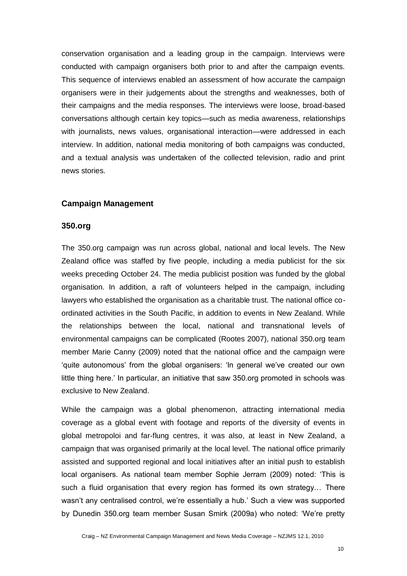conservation organisation and a leading group in the campaign. Interviews were conducted with campaign organisers both prior to and after the campaign events. This sequence of interviews enabled an assessment of how accurate the campaign organisers were in their judgements about the strengths and weaknesses, both of their campaigns and the media responses. The interviews were loose, broad-based conversations although certain key topics—such as media awareness, relationships with journalists, news values, organisational interaction—were addressed in each interview. In addition, national media monitoring of both campaigns was conducted, and a textual analysis was undertaken of the collected television, radio and print news stories.

#### **Campaign Management**

#### **350.org**

The 350.org campaign was run across global, national and local levels. The New Zealand office was staffed by five people, including a media publicist for the six weeks preceding October 24. The media publicist position was funded by the global organisation. In addition, a raft of volunteers helped in the campaign, including lawyers who established the organisation as a charitable trust. The national office coordinated activities in the South Pacific, in addition to events in New Zealand. While the relationships between the local, national and transnational levels of environmental campaigns can be complicated (Rootes 2007), national 350.org team member Marie Canny (2009) noted that the national office and the campaign were ‗quite autonomous' from the global organisers: ‗In general we've created our own little thing here.' In particular, an initiative that saw 350.org promoted in schools was exclusive to New Zealand.

While the campaign was a global phenomenon, attracting international media coverage as a global event with footage and reports of the diversity of events in global metropoloi and far-flung centres, it was also, at least in New Zealand, a campaign that was organised primarily at the local level. The national office primarily assisted and supported regional and local initiatives after an initial push to establish local organisers. As national team member Sophie Jerram (2009) noted: 'This is such a fluid organisation that every region has formed its own strategy… There wasn't any centralised control, we're essentially a hub.' Such a view was supported by Dunedin 350.org team member Susan Smirk (2009a) who noted: ‗We're pretty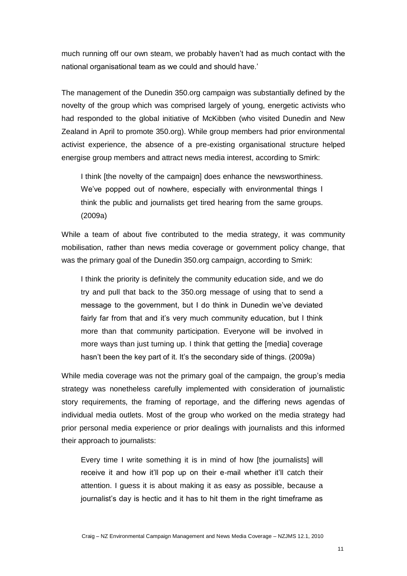much running off our own steam, we probably haven't had as much contact with the national organisational team as we could and should have.'

The management of the Dunedin 350.org campaign was substantially defined by the novelty of the group which was comprised largely of young, energetic activists who had responded to the global initiative of McKibben (who visited Dunedin and New Zealand in April to promote 350.org). While group members had prior environmental activist experience, the absence of a pre-existing organisational structure helped energise group members and attract news media interest, according to Smirk:

I think [the novelty of the campaign] does enhance the newsworthiness. We've popped out of nowhere, especially with environmental things I think the public and journalists get tired hearing from the same groups. (2009a)

While a team of about five contributed to the media strategy, it was community mobilisation, rather than news media coverage or government policy change, that was the primary goal of the Dunedin 350.org campaign, according to Smirk:

I think the priority is definitely the community education side, and we do try and pull that back to the 350.org message of using that to send a message to the government, but I do think in Dunedin we've deviated fairly far from that and it's very much community education, but I think more than that community participation. Everyone will be involved in more ways than just turning up. I think that getting the [media] coverage hasn't been the key part of it. It's the secondary side of things. (2009a)

While media coverage was not the primary goal of the campaign, the group's media strategy was nonetheless carefully implemented with consideration of journalistic story requirements, the framing of reportage, and the differing news agendas of individual media outlets. Most of the group who worked on the media strategy had prior personal media experience or prior dealings with journalists and this informed their approach to journalists:

Every time I write something it is in mind of how [the journalists] will receive it and how it'll pop up on their e-mail whether it'll catch their attention. I guess it is about making it as easy as possible, because a journalist's day is hectic and it has to hit them in the right timeframe as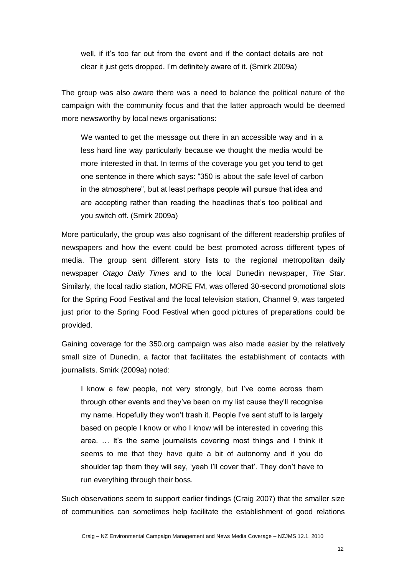well, if it's too far out from the event and if the contact details are not clear it just gets dropped. I'm definitely aware of it. (Smirk 2009a)

The group was also aware there was a need to balance the political nature of the campaign with the community focus and that the latter approach would be deemed more newsworthy by local news organisations:

We wanted to get the message out there in an accessible way and in a less hard line way particularly because we thought the media would be more interested in that. In terms of the coverage you get you tend to get one sentence in there which says: "350 is about the safe level of carbon in the atmosphere", but at least perhaps people will pursue that idea and are accepting rather than reading the headlines that's too political and you switch off. (Smirk 2009a)

More particularly, the group was also cognisant of the different readership profiles of newspapers and how the event could be best promoted across different types of media. The group sent different story lists to the regional metropolitan daily newspaper *Otago Daily Times* and to the local Dunedin newspaper, *The Star*. Similarly, the local radio station, MORE FM, was offered 30-second promotional slots for the Spring Food Festival and the local television station, Channel 9, was targeted just prior to the Spring Food Festival when good pictures of preparations could be provided.

Gaining coverage for the 350.org campaign was also made easier by the relatively small size of Dunedin, a factor that facilitates the establishment of contacts with journalists. Smirk (2009a) noted:

I know a few people, not very strongly, but I've come across them through other events and they've been on my list cause they'll recognise my name. Hopefully they won't trash it. People I've sent stuff to is largely based on people I know or who I know will be interested in covering this area. … It's the same journalists covering most things and I think it seems to me that they have quite a bit of autonomy and if you do shoulder tap them they will say, 'yeah I'll cover that'. They don't have to run everything through their boss.

Such observations seem to support earlier findings (Craig 2007) that the smaller size of communities can sometimes help facilitate the establishment of good relations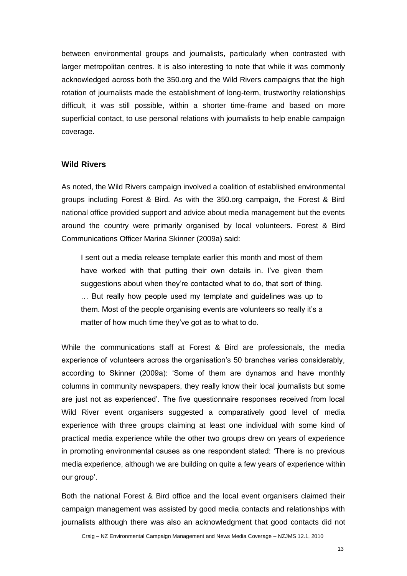between environmental groups and journalists, particularly when contrasted with larger metropolitan centres. It is also interesting to note that while it was commonly acknowledged across both the 350.org and the Wild Rivers campaigns that the high rotation of journalists made the establishment of long-term, trustworthy relationships difficult, it was still possible, within a shorter time-frame and based on more superficial contact, to use personal relations with journalists to help enable campaign coverage.

#### **Wild Rivers**

As noted, the Wild Rivers campaign involved a coalition of established environmental groups including Forest & Bird. As with the 350.org campaign, the Forest & Bird national office provided support and advice about media management but the events around the country were primarily organised by local volunteers. Forest & Bird Communications Officer Marina Skinner (2009a) said:

I sent out a media release template earlier this month and most of them have worked with that putting their own details in. I've given them suggestions about when they're contacted what to do, that sort of thing. … But really how people used my template and guidelines was up to them. Most of the people organising events are volunteers so really it's a matter of how much time they've got as to what to do.

While the communications staff at Forest & Bird are professionals, the media experience of volunteers across the organisation's 50 branches varies considerably, according to Skinner (2009a): 'Some of them are dynamos and have monthly columns in community newspapers, they really know their local journalists but some are just not as experienced'. The five questionnaire responses received from local Wild River event organisers suggested a comparatively good level of media experience with three groups claiming at least one individual with some kind of practical media experience while the other two groups drew on years of experience in promoting environmental causes as one respondent stated: ‗There is no previous media experience, although we are building on quite a few years of experience within our group'.

Both the national Forest & Bird office and the local event organisers claimed their campaign management was assisted by good media contacts and relationships with journalists although there was also an acknowledgment that good contacts did not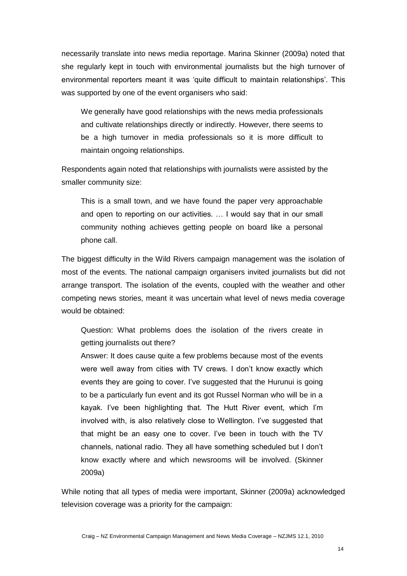necessarily translate into news media reportage. Marina Skinner (2009a) noted that she regularly kept in touch with environmental journalists but the high turnover of environmental reporters meant it was 'quite difficult to maintain relationships'. This was supported by one of the event organisers who said:

We generally have good relationships with the news media professionals and cultivate relationships directly or indirectly. However, there seems to be a high turnover in media professionals so it is more difficult to maintain ongoing relationships.

Respondents again noted that relationships with journalists were assisted by the smaller community size:

This is a small town, and we have found the paper very approachable and open to reporting on our activities. … I would say that in our small community nothing achieves getting people on board like a personal phone call.

The biggest difficulty in the Wild Rivers campaign management was the isolation of most of the events. The national campaign organisers invited journalists but did not arrange transport. The isolation of the events, coupled with the weather and other competing news stories, meant it was uncertain what level of news media coverage would be obtained:

Question: What problems does the isolation of the rivers create in getting journalists out there?

Answer: It does cause quite a few problems because most of the events were well away from cities with TV crews. I don't know exactly which events they are going to cover. I've suggested that the Hurunui is going to be a particularly fun event and its got Russel Norman who will be in a kayak. I've been highlighting that. The Hutt River event, which I'm involved with, is also relatively close to Wellington. I've suggested that that might be an easy one to cover. I've been in touch with the TV channels, national radio. They all have something scheduled but I don't know exactly where and which newsrooms will be involved. (Skinner 2009a)

While noting that all types of media were important, Skinner (2009a) acknowledged television coverage was a priority for the campaign: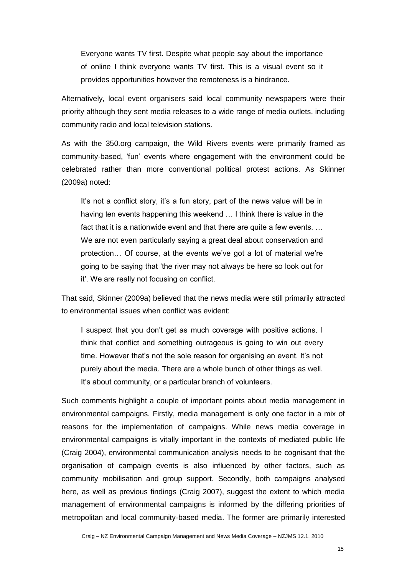Everyone wants TV first. Despite what people say about the importance of online I think everyone wants TV first. This is a visual event so it provides opportunities however the remoteness is a hindrance.

Alternatively, local event organisers said local community newspapers were their priority although they sent media releases to a wide range of media outlets, including community radio and local television stations.

As with the 350.org campaign, the Wild Rivers events were primarily framed as community-based, 'fun' events where engagement with the environment could be celebrated rather than more conventional political protest actions. As Skinner (2009a) noted:

It's not a conflict story, it's a fun story, part of the news value will be in having ten events happening this weekend … I think there is value in the fact that it is a nationwide event and that there are quite a few events. … We are not even particularly saying a great deal about conservation and protection… Of course, at the events we've got a lot of material we're going to be saying that 'the river may not always be here so look out for it'. We are really not focusing on conflict.

That said, Skinner (2009a) believed that the news media were still primarily attracted to environmental issues when conflict was evident:

I suspect that you don't get as much coverage with positive actions. I think that conflict and something outrageous is going to win out every time. However that's not the sole reason for organising an event. It's not purely about the media. There are a whole bunch of other things as well. It's about community, or a particular branch of volunteers.

Such comments highlight a couple of important points about media management in environmental campaigns. Firstly, media management is only one factor in a mix of reasons for the implementation of campaigns. While news media coverage in environmental campaigns is vitally important in the contexts of mediated public life (Craig 2004), environmental communication analysis needs to be cognisant that the organisation of campaign events is also influenced by other factors, such as community mobilisation and group support. Secondly, both campaigns analysed here, as well as previous findings (Craig 2007), suggest the extent to which media management of environmental campaigns is informed by the differing priorities of metropolitan and local community-based media. The former are primarily interested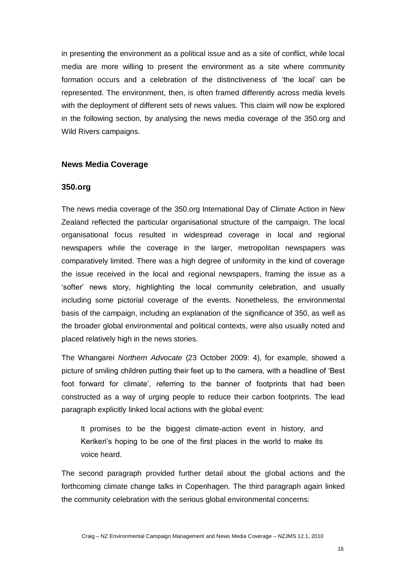in presenting the environment as a political issue and as a site of conflict, while local media are more willing to present the environment as a site where community formation occurs and a celebration of the distinctiveness of 'the local' can be represented. The environment, then, is often framed differently across media levels with the deployment of different sets of news values. This claim will now be explored in the following section, by analysing the news media coverage of the 350.org and Wild Rivers campaigns.

### **News Media Coverage**

#### **350.org**

The news media coverage of the 350.org International Day of Climate Action in New Zealand reflected the particular organisational structure of the campaign. The local organisational focus resulted in widespread coverage in local and regional newspapers while the coverage in the larger, metropolitan newspapers was comparatively limited. There was a high degree of uniformity in the kind of coverage the issue received in the local and regional newspapers, framing the issue as a ‗softer' news story, highlighting the local community celebration, and usually including some pictorial coverage of the events. Nonetheless, the environmental basis of the campaign, including an explanation of the significance of 350, as well as the broader global environmental and political contexts, were also usually noted and placed relatively high in the news stories.

The Whangarei *Northern Advocate* (23 October 2009: 4), for example, showed a picture of smiling children putting their feet up to the camera, with a headline of 'Best foot forward for climate', referring to the banner of footprints that had been constructed as a way of urging people to reduce their carbon footprints. The lead paragraph explicitly linked local actions with the global event:

It promises to be the biggest climate-action event in history, and Kerikeri's hoping to be one of the first places in the world to make its voice heard.

The second paragraph provided further detail about the global actions and the forthcoming climate change talks in Copenhagen. The third paragraph again linked the community celebration with the serious global environmental concerns: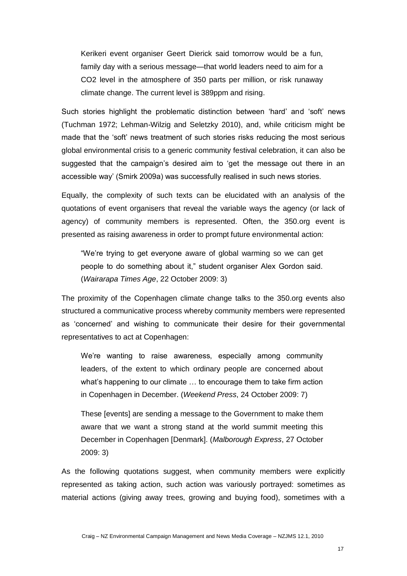Kerikeri event organiser Geert Dierick said tomorrow would be a fun, family day with a serious message—that world leaders need to aim for a CO2 level in the atmosphere of 350 parts per million, or risk runaway climate change. The current level is 389ppm and rising.

Such stories highlight the problematic distinction between 'hard' and 'soft' news (Tuchman 1972; Lehman-Wilzig and Seletzky 2010), and, while criticism might be made that the 'soft' news treatment of such stories risks reducing the most serious global environmental crisis to a generic community festival celebration, it can also be suggested that the campaign's desired aim to 'get the message out there in an accessible way' (Smirk 2009a) was successfully realised in such news stories.

Equally, the complexity of such texts can be elucidated with an analysis of the quotations of event organisers that reveal the variable ways the agency (or lack of agency) of community members is represented. Often, the 350.org event is presented as raising awareness in order to prompt future environmental action:

"We're trying to get everyone aware of global warming so we can get people to do something about it," student organiser Alex Gordon said. (*Wairarapa Times Age*, 22 October 2009: 3)

The proximity of the Copenhagen climate change talks to the 350.org events also structured a communicative process whereby community members were represented as 'concerned' and wishing to communicate their desire for their governmental representatives to act at Copenhagen:

We're wanting to raise awareness, especially among community leaders, of the extent to which ordinary people are concerned about what's happening to our climate ... to encourage them to take firm action in Copenhagen in December. (*Weekend Press*, 24 October 2009: 7)

These [events] are sending a message to the Government to make them aware that we want a strong stand at the world summit meeting this December in Copenhagen [Denmark]. (*Malborough Express*, 27 October 2009: 3)

As the following quotations suggest, when community members were explicitly represented as taking action, such action was variously portrayed: sometimes as material actions (giving away trees, growing and buying food), sometimes with a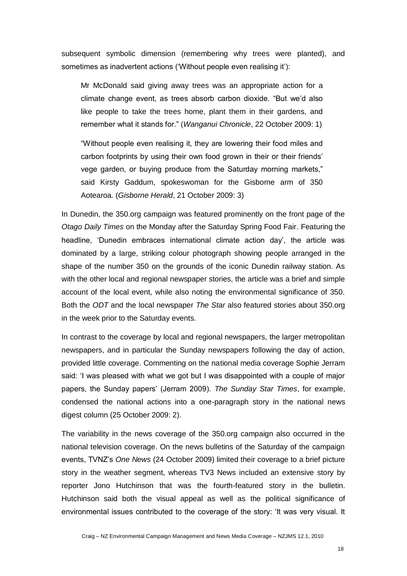subsequent symbolic dimension (remembering why trees were planted), and sometimes as inadvertent actions ('Without people even realising it'):

Mr McDonald said giving away trees was an appropriate action for a climate change event, as trees absorb carbon dioxide. "But we'd also like people to take the trees home, plant them in their gardens, and remember what it stands for.‖ (*Wanganui Chronicle*, 22 October 2009: 1)

"Without people even realising it, they are lowering their food miles and carbon footprints by using their own food grown in their or their friends' vege garden, or buying produce from the Saturday morning markets," said Kirsty Gaddum, spokeswoman for the Gisborne arm of 350 Aotearoa. (*Gisborne Herald*, 21 October 2009: 3)

In Dunedin, the 350.org campaign was featured prominently on the front page of the *Otago Daily Times* on the Monday after the Saturday Spring Food Fair. Featuring the headline, 'Dunedin embraces international climate action day', the article was dominated by a large, striking colour photograph showing people arranged in the shape of the number 350 on the grounds of the iconic Dunedin railway station. As with the other local and regional newspaper stories, the article was a brief and simple account of the local event, while also noting the environmental significance of 350. Both the *ODT* and the local newspaper *The Star* also featured stories about 350.org in the week prior to the Saturday events.

In contrast to the coverage by local and regional newspapers, the larger metropolitan newspapers, and in particular the Sunday newspapers following the day of action, provided little coverage. Commenting on the national media coverage Sophie Jerram said: 'I was pleased with what we got but I was disappointed with a couple of major papers, the Sunday papers' (Jerram 2009). *The Sunday Star Times*, for example, condensed the national actions into a one-paragraph story in the national news digest column (25 October 2009: 2).

The variability in the news coverage of the 350.org campaign also occurred in the national television coverage. On the news bulletins of the Saturday of the campaign events, TVNZ's *One News* (24 October 2009) limited their coverage to a brief picture story in the weather segment, whereas TV3 News included an extensive story by reporter Jono Hutchinson that was the fourth-featured story in the bulletin. Hutchinson said both the visual appeal as well as the political significance of environmental issues contributed to the coverage of the story: 'It was very visual. It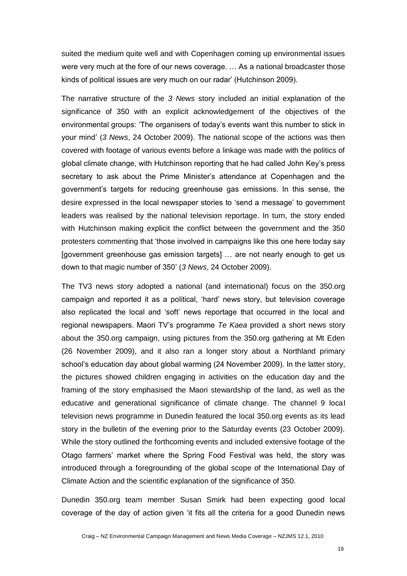suited the medium quite well and with Copenhagen coming up environmental issues were very much at the fore of our news coverage. … As a national broadcaster those kinds of political issues are very much on our radar' (Hutchinson 2009).

The narrative structure of the *3 News* story included an initial explanation of the significance of 350 with an explicit acknowledgement of the objectives of the environmental groups: ‗The organisers of today's events want this number to stick in your mind' (*3 News*, 24 October 2009). The national scope of the actions was then covered with footage of various events before a linkage was made with the politics of global climate change, with Hutchinson reporting that he had called John Key's press secretary to ask about the Prime Minister's attendance at Copenhagen and the government's targets for reducing greenhouse gas emissions. In this sense, the desire expressed in the local newspaper stories to 'send a message' to government leaders was realised by the national television reportage. In turn, the story ended with Hutchinson making explicit the conflict between the government and the 350 protesters commenting that 'those involved in campaigns like this one here today say [government greenhouse gas emission targets] … are not nearly enough to get us down to that magic number of 350' (*3 News*, 24 October 2009).

The TV3 news story adopted a national (and international) focus on the 350.org campaign and reported it as a political, 'hard' news story, but television coverage also replicated the local and 'soft' news reportage that occurred in the local and regional newspapers. Maori TV's programme *Te Kaea* provided a short news story about the 350.org campaign, using pictures from the 350.org gathering at Mt Eden (26 November 2009), and it also ran a longer story about a Northland primary school's education day about global warming (24 November 2009). In the latter story, the pictures showed children engaging in activities on the education day and the framing of the story emphasised the Maori stewardship of the land, as well as the educative and generational significance of climate change. The channel 9 local television news programme in Dunedin featured the local 350.org events as its lead story in the bulletin of the evening prior to the Saturday events (23 October 2009). While the story outlined the forthcoming events and included extensive footage of the Otago farmers' market where the Spring Food Festival was held, the story was introduced through a foregrounding of the global scope of the International Day of Climate Action and the scientific explanation of the significance of 350.

Dunedin 350.org team member Susan Smirk had been expecting good local coverage of the day of action given 'it fits all the criteria for a good Dunedin news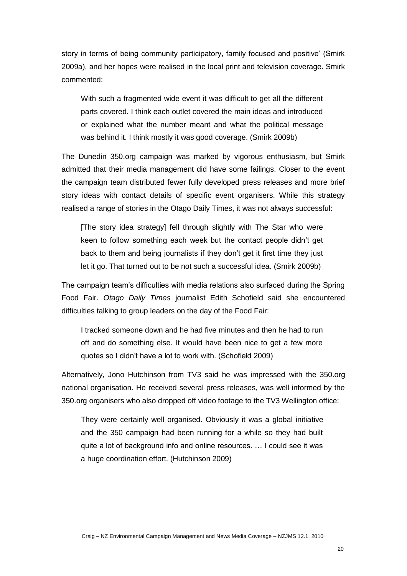story in terms of being community participatory, family focused and positive' (Smirk 2009a), and her hopes were realised in the local print and television coverage. Smirk commented:

With such a fragmented wide event it was difficult to get all the different parts covered. I think each outlet covered the main ideas and introduced or explained what the number meant and what the political message was behind it. I think mostly it was good coverage. (Smirk 2009b)

The Dunedin 350.org campaign was marked by vigorous enthusiasm, but Smirk admitted that their media management did have some failings. Closer to the event the campaign team distributed fewer fully developed press releases and more brief story ideas with contact details of specific event organisers. While this strategy realised a range of stories in the Otago Daily Times, it was not always successful:

[The story idea strategy] fell through slightly with The Star who were keen to follow something each week but the contact people didn't get back to them and being journalists if they don't get it first time they just let it go. That turned out to be not such a successful idea. (Smirk 2009b)

The campaign team's difficulties with media relations also surfaced during the Spring Food Fair. *Otago Daily Times* journalist Edith Schofield said she encountered difficulties talking to group leaders on the day of the Food Fair:

I tracked someone down and he had five minutes and then he had to run off and do something else. It would have been nice to get a few more quotes so I didn't have a lot to work with. (Schofield 2009)

Alternatively, Jono Hutchinson from TV3 said he was impressed with the 350.org national organisation. He received several press releases, was well informed by the 350.org organisers who also dropped off video footage to the TV3 Wellington office:

They were certainly well organised. Obviously it was a global initiative and the 350 campaign had been running for a while so they had built quite a lot of background info and online resources. … I could see it was a huge coordination effort. (Hutchinson 2009)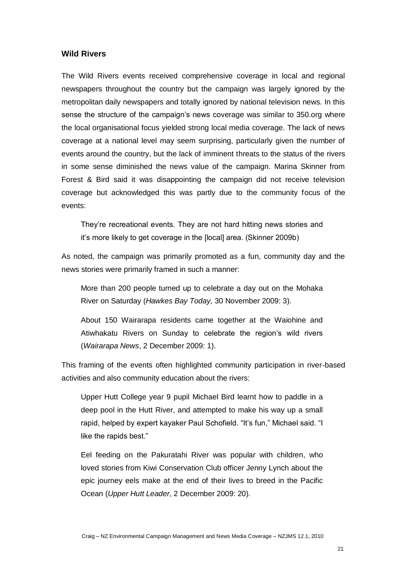#### **Wild Rivers**

The Wild Rivers events received comprehensive coverage in local and regional newspapers throughout the country but the campaign was largely ignored by the metropolitan daily newspapers and totally ignored by national television news. In this sense the structure of the campaign's news coverage was similar to 350.org where the local organisational focus yielded strong local media coverage. The lack of news coverage at a national level may seem surprising, particularly given the number of events around the country, but the lack of imminent threats to the status of the rivers in some sense diminished the news value of the campaign. Marina Skinner from Forest & Bird said it was disappointing the campaign did not receive television coverage but acknowledged this was partly due to the community focus of the events:

They're recreational events. They are not hard hitting news stories and it's more likely to get coverage in the [local] area. (Skinner 2009b)

As noted, the campaign was primarily promoted as a fun, community day and the news stories were primarily framed in such a manner:

More than 200 people turned up to celebrate a day out on the Mohaka River on Saturday (*Hawkes Bay Today,* 30 November 2009: 3).

About 150 Wairarapa residents came together at the Waiohine and Atiwhakatu Rivers on Sunday to celebrate the region's wild rivers (*Wairarapa News*, 2 December 2009: 1).

This framing of the events often highlighted community participation in river-based activities and also community education about the rivers:

Upper Hutt College year 9 pupil Michael Bird learnt how to paddle in a deep pool in the Hutt River, and attempted to make his way up a small rapid, helped by expert kayaker Paul Schofield. "It's fun," Michael said. "I like the rapids best."

Eel feeding on the Pakuratahi River was popular with children, who loved stories from Kiwi Conservation Club officer Jenny Lynch about the epic journey eels make at the end of their lives to breed in the Pacific Ocean (*Upper Hutt Leader*, 2 December 2009: 20).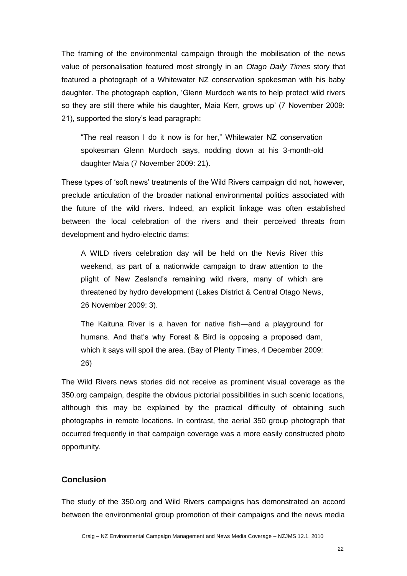The framing of the environmental campaign through the mobilisation of the news value of personalisation featured most strongly in an *Otago Daily Times* story that featured a photograph of a Whitewater NZ conservation spokesman with his baby daughter. The photograph caption, 'Glenn Murdoch wants to help protect wild rivers so they are still there while his daughter, Maia Kerr, grows up' (7 November 2009: 21), supported the story's lead paragraph:

"The real reason I do it now is for her," Whitewater NZ conservation spokesman Glenn Murdoch says, nodding down at his 3-month-old daughter Maia (7 November 2009: 21).

These types of ‗soft news' treatments of the Wild Rivers campaign did not, however, preclude articulation of the broader national environmental politics associated with the future of the wild rivers. Indeed, an explicit linkage was often established between the local celebration of the rivers and their perceived threats from development and hydro-electric dams:

A WILD rivers celebration day will be held on the Nevis River this weekend, as part of a nationwide campaign to draw attention to the plight of New Zealand's remaining wild rivers, many of which are threatened by hydro development (Lakes District & Central Otago News, 26 November 2009: 3).

The Kaituna River is a haven for native fish—and a playground for humans. And that's why Forest & Bird is opposing a proposed dam, which it says will spoil the area. (Bay of Plenty Times, 4 December 2009: 26)

The Wild Rivers news stories did not receive as prominent visual coverage as the 350.org campaign, despite the obvious pictorial possibilities in such scenic locations, although this may be explained by the practical difficulty of obtaining such photographs in remote locations. In contrast, the aerial 350 group photograph that occurred frequently in that campaign coverage was a more easily constructed photo opportunity.

## **Conclusion**

The study of the 350.org and Wild Rivers campaigns has demonstrated an accord between the environmental group promotion of their campaigns and the news media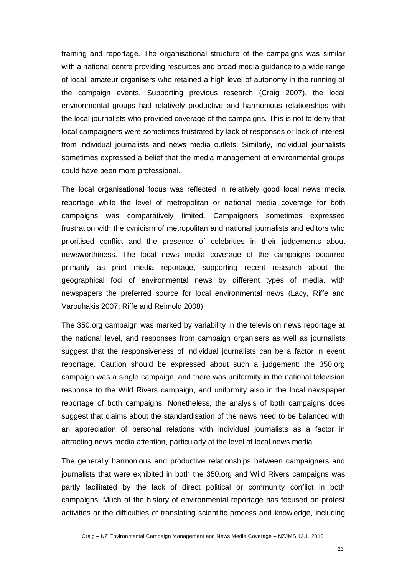framing and reportage. The organisational structure of the campaigns was similar with a national centre providing resources and broad media guidance to a wide range of local, amateur organisers who retained a high level of autonomy in the running of the campaign events. Supporting previous research (Craig 2007), the local environmental groups had relatively productive and harmonious relationships with the local journalists who provided coverage of the campaigns. This is not to deny that local campaigners were sometimes frustrated by lack of responses or lack of interest from individual journalists and news media outlets. Similarly, individual journalists sometimes expressed a belief that the media management of environmental groups could have been more professional.

The local organisational focus was reflected in relatively good local news media reportage while the level of metropolitan or national media coverage for both campaigns was comparatively limited. Campaigners sometimes expressed frustration with the cynicism of metropolitan and national journalists and editors who prioritised conflict and the presence of celebrities in their judgements about newsworthiness. The local news media coverage of the campaigns occurred primarily as print media reportage, supporting recent research about the geographical foci of environmental news by different types of media, with newspapers the preferred source for local environmental news (Lacy, Riffe and Varouhakis 2007; Riffe and Reimold 2008).

The 350.org campaign was marked by variability in the television news reportage at the national level, and responses from campaign organisers as well as journalists suggest that the responsiveness of individual journalists can be a factor in event reportage. Caution should be expressed about such a judgement: the 350.org campaign was a single campaign, and there was uniformity in the national television response to the Wild Rivers campaign, and uniformity also in the local newspaper reportage of both campaigns. Nonetheless, the analysis of both campaigns does suggest that claims about the standardisation of the news need to be balanced with an appreciation of personal relations with individual journalists as a factor in attracting news media attention, particularly at the level of local news media.

The generally harmonious and productive relationships between campaigners and journalists that were exhibited in both the 350.org and Wild Rivers campaigns was partly facilitated by the lack of direct political or community conflict in both campaigns. Much of the history of environmental reportage has focused on protest activities or the difficulties of translating scientific process and knowledge, including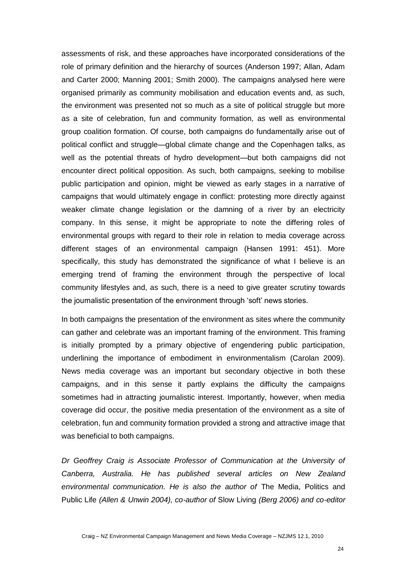assessments of risk, and these approaches have incorporated considerations of the role of primary definition and the hierarchy of sources (Anderson 1997; Allan, Adam and Carter 2000; Manning 2001; Smith 2000). The campaigns analysed here were organised primarily as community mobilisation and education events and, as such, the environment was presented not so much as a site of political struggle but more as a site of celebration, fun and community formation, as well as environmental group coalition formation. Of course, both campaigns do fundamentally arise out of political conflict and struggle—global climate change and the Copenhagen talks, as well as the potential threats of hydro development—but both campaigns did not encounter direct political opposition. As such, both campaigns, seeking to mobilise public participation and opinion, might be viewed as early stages in a narrative of campaigns that would ultimately engage in conflict: protesting more directly against weaker climate change legislation or the damning of a river by an electricity company. In this sense, it might be appropriate to note the differing roles of environmental groups with regard to their role in relation to media coverage across different stages of an environmental campaign (Hansen 1991: 451). More specifically, this study has demonstrated the significance of what I believe is an emerging trend of framing the environment through the perspective of local community lifestyles and, as such, there is a need to give greater scrutiny towards the journalistic presentation of the environment through 'soft' news stories.

In both campaigns the presentation of the environment as sites where the community can gather and celebrate was an important framing of the environment. This framing is initially prompted by a primary objective of engendering public participation, underlining the importance of embodiment in environmentalism (Carolan 2009). News media coverage was an important but secondary objective in both these campaigns, and in this sense it partly explains the difficulty the campaigns sometimes had in attracting journalistic interest. Importantly, however, when media coverage did occur, the positive media presentation of the environment as a site of celebration, fun and community formation provided a strong and attractive image that was beneficial to both campaigns.

*Dr Geoffrey Craig is Associate Professor of Communication at the University of Canberra, Australia. He has published several articles on New Zealand environmental communication. He is also the author of* The Media, Politics and Public Life *(Allen & Unwin 2004), co-author of* Slow Living *(Berg 2006) and co-editor*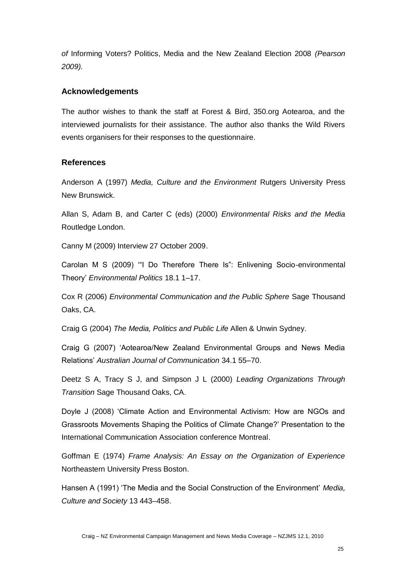*of* Informing Voters? Politics, Media and the New Zealand Election 2008 *(Pearson 2009).*

# **Acknowledgements**

The author wishes to thank the staff at Forest & Bird, 350.org Aotearoa, and the interviewed journalists for their assistance. The author also thanks the Wild Rivers events organisers for their responses to the questionnaire.

# **References**

Anderson A (1997) *Media, Culture and the Environment* Rutgers University Press New Brunswick.

Allan S, Adam B, and Carter C (eds) (2000) *Environmental Risks and the Media* Routledge London.

Canny M (2009) Interview 27 October 2009.

Carolan M S (2009) "I Do Therefore There Is": Enlivening Socio-environmental Theory' *Environmental Politics* 18.1 1–17.

Cox R (2006) *Environmental Communication and the Public Sphere* Sage Thousand Oaks, CA.

Craig G (2004) *The Media, Politics and Public Life* Allen & Unwin Sydney.

Craig G (2007) ‗Aotearoa/New Zealand Environmental Groups and News Media Relations' *Australian Journal of Communication* 34.1 55–70.

Deetz S A, Tracy S J, and Simpson J L (2000) *Leading Organizations Through Transition* Sage Thousand Oaks, CA.

Doyle J (2008) ‗Climate Action and Environmental Activism: How are NGOs and Grassroots Movements Shaping the Politics of Climate Change?' Presentation to the International Communication Association conference Montreal.

Goffman E (1974) *Frame Analysis: An Essay on the Organization of Experience* Northeastern University Press Boston.

Hansen A (1991) 'The Media and the Social Construction of the Environment' *Media*, *Culture and Society* 13 443–458.